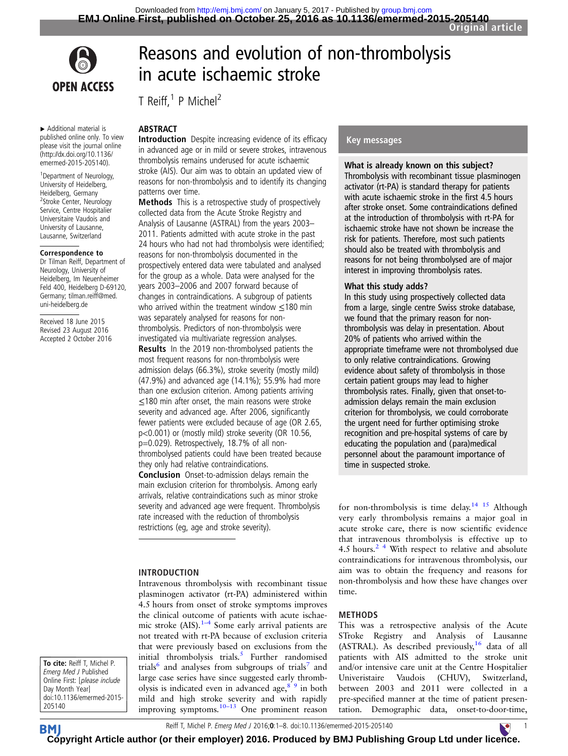Reasons and evolution of non-thrombolysis

in acute ischaemic stroke

Introduction Despite increasing evidence of its efficacy in advanced age or in mild or severe strokes, intravenous thrombolysis remains underused for acute ischaemic stroke (AIS). Our aim was to obtain an updated view of reasons for non-thrombolysis and to identify its changing

Methods This is a retrospective study of prospectively collected data from the Acute Stroke Registry and Analysis of Lausanne (ASTRAL) from the years 2003– 2011. Patients admitted with acute stroke in the past 24 hours who had not had thrombolysis were identified; reasons for non-thrombolysis documented in the prospectively entered data were tabulated and analysed for the group as a whole. Data were analysed for the years 2003–2006 and 2007 forward because of changes in contraindications. A subgroup of patients who arrived within the treatment window <180 min was separately analysed for reasons for nonthrombolysis. Predictors of non-thrombolysis were investigated via multivariate regression analyses. Results In the 2019 non-thrombolysed patients the most frequent reasons for non-thrombolysis were admission delays (66.3%), stroke severity (mostly mild) (47.9%) and advanced age (14.1%); 55.9% had more than one exclusion criterion. Among patients arriving ≤180 min after onset, the main reasons were stroke severity and advanced age. After 2006, significantly fewer patients were excluded because of age (OR 2.65, p<0.001) or (mostly mild) stroke severity (OR 10.56, p=0.029). Retrospectively, 18.7% of all non-

thrombolysed patients could have been treated because

Intravenous thrombolysis with recombinant tissue plasminogen activator (rt-PA) administered within 4.5 hours from onset of stroke symptoms improves the clinical outcome of patients with acute ischaemic stroke (AIS). $1-4$  $1-4$  Some early arrival patients are not treated with rt-PA because of exclusion criteria that were previously based on exclusions from the initial thrombolysis trials. $5$  Further randomised trials $\delta$  and analyses from subgroups of trials and large case series have since suggested early thrombolysis is indicated even in advanced age,  $8^9$  in both

Conclusion Onset-to-admission delays remain the main exclusion criterion for thrombolysis. Among early arrivals, relative contraindications such as minor stroke severity and advanced age were frequent. Thrombolysis rate increased with the reduction of thrombolysis restrictions (eg, age and stroke severity).

they only had relative contraindications.

INTRODUCTION

T Reiff, $1$  P Michel<sup>2</sup>

ABSTRACT

patterns over time.



▸ Additional material is published online only. To view please visit the journal online [\(http://dx.doi.org/10.1136/](http://dx.doi.org/10.1136/emermed-2015-205140) [emermed-2015-205140](http://dx.doi.org/10.1136/emermed-2015-205140)).

<sup>1</sup> Department of Neurology, University of Heidelberg. Heidelberg, Germany <sup>2</sup>Stroke Center, Neurology Service, Centre Hospitalier Universitaire Vaudois and University of Lausanne, Lausanne, Switzerland

#### Correspondence to

Dr Tilman Reiff, Department of Neurology, University of Heidelberg, Im Neuenheimer Feld 400, Heidelberg D-69120, Germany; tilman.reiff@med. uni-heidelberg.de

Received 18 June 2015 Revised 23 August 2016 Accepted 2 October 2016

# To cite: Reiff T, Michel P. Emerg Med J Published Online First: [please include Day Month Year]

mild and high stroke severity and with rapidly improving symptoms.<sup>[10](#page-7-0)–13</sup> One prominent reason Key messages

# What is already known on this subject?

Thrombolysis with recombinant tissue plasminogen activator (rt-PA) is standard therapy for patients with acute ischaemic stroke in the first 4.5 hours after stroke onset. Some contraindications defined at the introduction of thrombolysis with rt-PA for ischaemic stroke have not shown be increase the risk for patients. Therefore, most such patients should also be treated with thrombolysis and reasons for not being thrombolysed are of major interest in improving thrombolysis rates.

#### What this study adds?

In this study using prospectively collected data from a large, single centre Swiss stroke database, we found that the primary reason for nonthrombolysis was delay in presentation. About 20% of patients who arrived within the appropriate timeframe were not thrombolysed due to only relative contraindications. Growing evidence about safety of thrombolysis in those certain patient groups may lead to higher thrombolysis rates. Finally, given that onset-toadmission delays remain the main exclusion criterion for thrombolysis, we could corroborate the urgent need for further optimising stroke recognition and pre-hospital systems of care by educating the population and (para)medical personnel about the paramount importance of time in suspected stroke.

for non-thrombolysis is time delay.<sup>[14 15](#page-7-0)</sup> Although very early thrombolysis remains a major goal in acute stroke care, there is now scientific evidence that intravenous thrombolysis is effective up to 4.5 hours. $^{2}$  4 With respect to relative and absolute contraindications for intravenous thrombolysis, our aim was to obtain the frequency and reasons for non-thrombolysis and how these have changes over time.

### METHODS

This was a retrospective analysis of the Acute STroke Registry and Analysis of Lausanne (ASTRAL). As described previously,<sup>[16](#page-7-0)</sup> data of all patients with AIS admitted to the stroke unit and/or intensive care unit at the Centre Hospitalier Univeristaire Vaudois (CHUV), Switzerland, between 2003 and 2011 were collected in a pre-specified manner at the time of patient presentation. Demographic data, onset-to-door-time,

doi:10.1136/emermed-2015- 205140

**BM** 

Reiff T, Michel P. Emerg Med J 2016;0:1–8. doi:10.1136/emermed-2015-205140

**[Cop](http://emj.bmj.com)yright Article author (or their employer) 2016. Produced by BMJ Publishing Group Ltd under lic[enc](http://www.collemergencymed.ac.uk/)e.** 

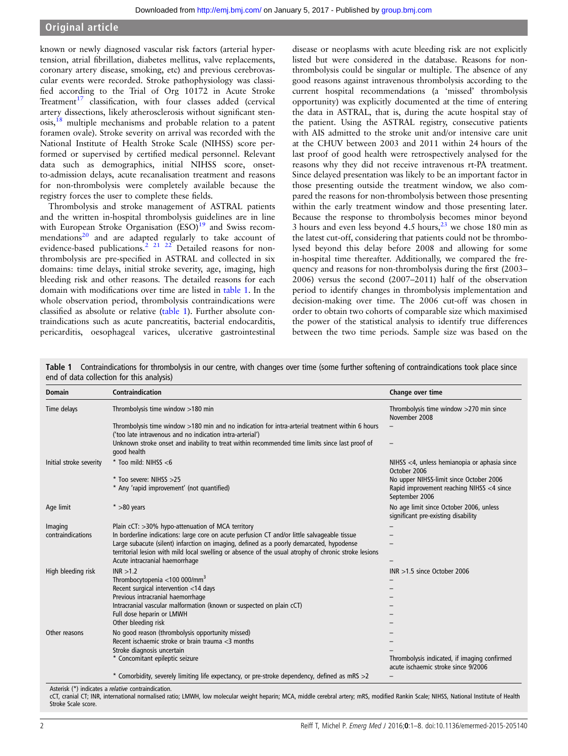# <span id="page-1-0"></span>Original article

known or newly diagnosed vascular risk factors (arterial hypertension, atrial fibrillation, diabetes mellitus, valve replacements, coronary artery disease, smoking, etc) and previous cerebrovascular events were recorded. Stroke pathophysiology was classified according to the Trial of Org 10172 in Acute Stroke Treatment $17$  classification, with four classes added (cervical artery dissections, likely atherosclerosis without significant sten- $\cos s$ ,<sup>[18](#page-7-0)</sup> multiple mechanisms and probable relation to a patent foramen ovale). Stroke severity on arrival was recorded with the National Institute of Health Stroke Scale (NIHSS) score performed or supervised by certified medical personnel. Relevant data such as demographics, initial NIHSS score, onsetto-admission delays, acute recanalisation treatment and reasons for non-thrombolysis were completely available because the registry forces the user to complete these fields.

Thrombolysis and stroke management of ASTRAL patients and the written in-hospital thrombolysis guidelines are in line with European Stroke Organisation  $(ESO)^{19}$  and Swiss recom-mendations<sup>[20](#page-7-0)</sup> and are adapted regularly to take account of evidence-based publications.<sup>2</sup> <sup>21</sup> <sup>22</sup> Detailed reasons for nonthrombolysis are pre-specified in ASTRAL and collected in six domains: time delays, initial stroke severity, age, imaging, high bleeding risk and other reasons. The detailed reasons for each domain with modifications over time are listed in table 1. In the whole observation period, thrombolysis contraindications were classified as absolute or relative (table 1). Further absolute contraindications such as acute pancreatitis, bacterial endocarditis, pericarditis, oesophageal varices, ulcerative gastrointestinal

disease or neoplasms with acute bleeding risk are not explicitly listed but were considered in the database. Reasons for nonthrombolysis could be singular or multiple. The absence of any good reasons against intravenous thrombolysis according to the current hospital recommendations (a 'missed' thrombolysis opportunity) was explicitly documented at the time of entering the data in ASTRAL, that is, during the acute hospital stay of the patient. Using the ASTRAL registry, consecutive patients with AIS admitted to the stroke unit and/or intensive care unit at the CHUV between 2003 and 2011 within 24 hours of the last proof of good health were retrospectively analysed for the reasons why they did not receive intravenous rt-PA treatment. Since delayed presentation was likely to be an important factor in those presenting outside the treatment window, we also compared the reasons for non-thrombolysis between those presenting within the early treatment window and those presenting later. Because the response to thrombolysis becomes minor beyond 3 hours and even less beyond 4.5 hours, $23$  we chose 180 min as the latest cut-off, considering that patients could not be thrombolysed beyond this delay before 2008 and allowing for some in-hospital time thereafter. Additionally, we compared the frequency and reasons for non-thrombolysis during the first (2003– 2006) versus the second (2007–2011) half of the observation period to identify changes in thrombolysis implementation and decision-making over time. The 2006 cut-off was chosen in order to obtain two cohorts of comparable size which maximised the power of the statistical analysis to identify true differences between the two time periods. Sample size was based on the

Table 1 Contraindications for thrombolysis in our centre, with changes over time (some further softening of contraindications took place since end of data collection for this analysis)

| <b>Domain</b>           | Contraindication                                                                                                                                             | Change over time                                                                    |
|-------------------------|--------------------------------------------------------------------------------------------------------------------------------------------------------------|-------------------------------------------------------------------------------------|
| Time delays             | Thrombolysis time window >180 min                                                                                                                            | Thrombolysis time window >270 min since<br>November 2008                            |
|                         | Thrombolysis time window >180 min and no indication for intra-arterial treatment within 6 hours<br>('too late intravenous and no indication intra-arterial') |                                                                                     |
|                         | Unknown stroke onset and inability to treat within recommended time limits since last proof of<br>good health                                                | $\overline{\phantom{m}}$                                                            |
| Initial stroke severity | $*$ Too mild: NIHSS <6                                                                                                                                       | NIHSS <4, unless hemianopia or aphasia since<br>October 2006                        |
|                         | * Too severe: NIHSS >25                                                                                                                                      | No upper NIHSS-limit since October 2006                                             |
|                         | * Any 'rapid improvement' (not quantified)                                                                                                                   | Rapid improvement reaching NIHSS <4 since<br>September 2006                         |
| Age limit               | $* > 80$ years                                                                                                                                               | No age limit since October 2006, unless<br>significant pre-existing disability      |
| Imaging                 | Plain cCT: >30% hypo-attenuation of MCA territory                                                                                                            |                                                                                     |
| contraindications       | In borderline indications: large core on acute perfusion CT and/or little salvageable tissue                                                                 |                                                                                     |
|                         | Large subacute (silent) infarction on imaging, defined as a poorly demarcated, hypodense                                                                     |                                                                                     |
|                         | territorial lesion with mild local swelling or absence of the usual atrophy of chronic stroke lesions                                                        |                                                                                     |
|                         | Acute intracranial haemorrhage                                                                                                                               |                                                                                     |
| High bleeding risk      | INR > 1.2                                                                                                                                                    | $INR > 1.5$ since October 2006                                                      |
|                         | Thrombocytopenia <100 000/mm <sup>3</sup>                                                                                                                    |                                                                                     |
|                         | Recent surgical intervention <14 days                                                                                                                        |                                                                                     |
|                         | Previous intracranial haemorrhage                                                                                                                            |                                                                                     |
|                         | Intracranial vascular malformation (known or suspected on plain cCT)                                                                                         |                                                                                     |
|                         | Full dose heparin or LMWH                                                                                                                                    |                                                                                     |
|                         | Other bleeding risk                                                                                                                                          |                                                                                     |
| Other reasons           | No good reason (thrombolysis opportunity missed)                                                                                                             |                                                                                     |
|                         | Recent ischaemic stroke or brain trauma <3 months                                                                                                            |                                                                                     |
|                         | Stroke diagnosis uncertain                                                                                                                                   |                                                                                     |
|                         | * Concomitant epileptic seizure                                                                                                                              | Thrombolysis indicated, if imaging confirmed<br>acute ischaemic stroke since 9/2006 |
|                         | * Comorbidity, severely limiting life expectancy, or pre-stroke dependency, defined as mRS >2                                                                |                                                                                     |

Asterisk (\*) indicates a relative contraindication.

cCT, cranial CT; INR, international normalised ratio; LMWH, low molecular weight heparin; MCA, middle cerebral artery; mRS, modified Rankin Scale; NIHSS, National Institute of Health Stroke Scale score.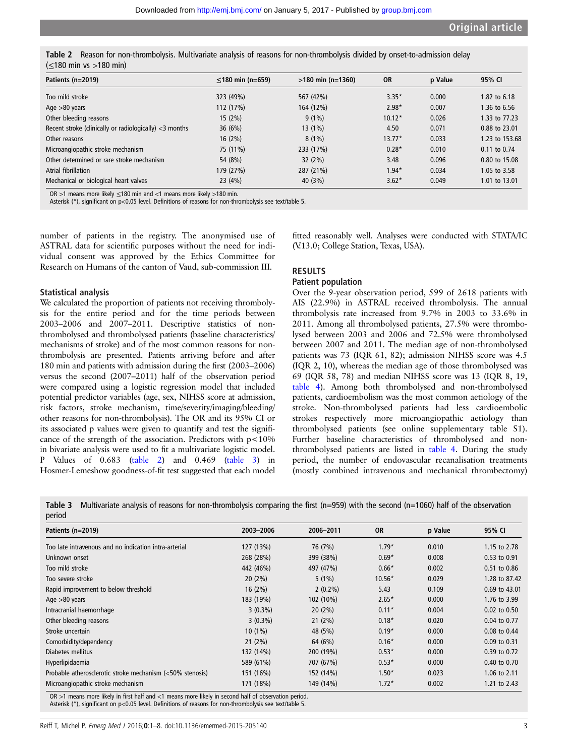<span id="page-2-0"></span>

| Table 2 Reason for non-thrombolysis. Multivariate analysis of reasons for non-thrombolysis divided by onset-to-admission delay |
|--------------------------------------------------------------------------------------------------------------------------------|
| $( \leq 180 \text{ min } \text{vs } > 180 \text{ min} )$                                                                       |

| Patients (n=2019)                                         | $\leq$ 180 min (n=659) | $>180$ min (n=1360) | <b>OR</b> | p Value | 95% CI           |
|-----------------------------------------------------------|------------------------|---------------------|-----------|---------|------------------|
| Too mild stroke                                           | 323 (49%)              | 567 (42%)           | $3.35*$   | 0.000   | 1.82 to 6.18     |
| Age $>80$ years                                           | 112 (17%)              | 164 (12%)           | $2.98*$   | 0.007   | 1.36 to 6.56     |
| Other bleeding reasons                                    | 15(2%)                 | $9(1\%)$            | $10.12*$  | 0.026   | 1.33 to 77.23    |
| Recent stroke (clinically or radiologically) $<$ 3 months | 36(6%)                 | 13 (1%)             | 4.50      | 0.071   | 0.88 to 23.01    |
| Other reasons                                             | 16(2%)                 | $8(1\%)$            | $13.77*$  | 0.033   | 1.23 to 153.68   |
| Microangiopathic stroke mechanism                         | 75 (11%)               | 233 (17%)           | $0.28*$   | 0.010   | $0.11$ to $0.74$ |
| Other determined or rare stroke mechanism                 | 54 (8%)                | 32(2%)              | 3.48      | 0.096   | 0.80 to 15.08    |
| Atrial fibrillation                                       | 179 (27%)              | 287 (21%)           | $1.94*$   | 0.034   | 1.05 to 3.58     |
| Mechanical or biological heart valves                     | 23(4%)                 | 40 (3%)             | $3.62*$   | 0.049   | 1.01 to 13.01    |

OR >1 means more likely ≤180 min and <1 means more likely >180 min.

Asterisk (\*), significant on p<0.05 level. Definitions of reasons for non-thrombolysis see text/table 5.

number of patients in the registry. The anonymised use of ASTRAL data for scientific purposes without the need for individual consent was approved by the Ethics Committee for Research on Humans of the canton of Vaud, sub-commission III.

#### Statistical analysis

We calculated the proportion of patients not receiving thrombolysis for the entire period and for the time periods between 2003–2006 and 2007–2011. Descriptive statistics of nonthrombolysed and thrombolysed patients (baseline characteristics/ mechanisms of stroke) and of the most common reasons for nonthrombolysis are presented. Patients arriving before and after 180 min and patients with admission during the first (2003–2006) versus the second (2007–2011) half of the observation period were compared using a logistic regression model that included potential predictor variables (age, sex, NIHSS score at admission, risk factors, stroke mechanism, time/severity/imaging/bleeding/ other reasons for non-thrombolysis). The OR and its 95% CI or its associated p values were given to quantify and test the significance of the strength of the association. Predictors with  $p<10%$ in bivariate analysis were used to fit a multivariate logistic model. P Values of 0.683 (table 2) and 0.469 (table 3) in Hosmer-Lemeshow goodness-of-fit test suggested that each model

fitted reasonably well. Analyses were conducted with STATA/IC (V.13.0; College Station, Texas, USA).

# RESULTS

#### Patient population

Over the 9-year observation period, 599 of 2618 patients with AIS (22.9%) in ASTRAL received thrombolysis. The annual thrombolysis rate increased from 9.7% in 2003 to 33.6% in 2011. Among all thrombolysed patients, 27.5% were thrombolysed between 2003 and 2006 and 72.5% were thrombolysed between 2007 and 2011. The median age of non-thrombolysed patients was 73 (IQR 61, 82); admission NIHSS score was 4.5 (IQR 2, 10), whereas the median age of those thrombolysed was 69 (IQR 58, 78) and median NIHSS score was 13 (IQR 8, 19, [table 4\)](#page-3-0). Among both thrombolysed and non-thrombolysed patients, cardioembolism was the most common aetiology of the stroke. Non-thrombolysed patients had less cardioembolic strokes respectively more microangiopathic aetiology than thrombolysed patients (see online [supplementary table S1\)](http://dx.doi.org/10.1136/emermed-2015-205140). Further baseline characteristics of thrombolysed and nonthrombolysed patients are listed in [table 4.](#page-3-0) During the study period, the number of endovascular recanalisation treatments (mostly combined intravenous and mechanical thrombectomy)

**Table 3** Multivariate analysis of reasons for non-thrombolysis comparing the first (n=959) with the second (n=1060) half of the observation period

| Patients (n=2019)                                         | 2003-2006  | 2006-2011  | <b>OR</b> | p Value | 95% CI           |
|-----------------------------------------------------------|------------|------------|-----------|---------|------------------|
| Too late intravenous and no indication intra-arterial     | 127 (13%)  | 76 (7%)    | $1.79*$   | 0.010   | 1.15 to 2.78     |
| Unknown onset                                             | 268 (28%)  | 399 (38%)  | $0.69*$   | 0.008   | 0.53 to 0.91     |
| Too mild stroke                                           | 442 (46%)  | 497 (47%)  | $0.66*$   | 0.002   | 0.51 to 0.86     |
| Too severe stroke                                         | 20(2%)     | $5(1\%)$   | $10.56*$  | 0.029   | 1.28 to 87.42    |
| Rapid improvement to below threshold                      | 16(2%)     | $2(0.2\%)$ | 5.43      | 0.109   | 0.69 to 43.01    |
| Age $>80$ years                                           | 183 (19%)  | 102 (10%)  | $2.65*$   | 0.000   | 1.76 to 3.99     |
| Intracranial haemorrhage                                  | $3(0.3\%)$ | 20(2%)     | $0.11*$   | 0.004   | $0.02$ to $0.50$ |
| Other bleeding reasons                                    | $3(0.3\%)$ | 21(2%)     | $0.18*$   | 0.020   | 0.04 to 0.77     |
| Stroke uncertain                                          | $10(1\%)$  | 48 (5%)    | $0.19*$   | 0.000   | 0.08 to 0.44     |
| Comorbidity/dependency                                    | 21(2%)     | 64 (6%)    | $0.16*$   | 0.000   | 0.09 to 0.31     |
| Diabetes mellitus                                         | 132 (14%)  | 200 (19%)  | $0.53*$   | 0.000   | 0.39 to 0.72     |
| Hyperlipidaemia                                           | 589 (61%)  | 707 (67%)  | $0.53*$   | 0.000   | 0.40 to 0.70     |
| Probable atherosclerotic stroke mechanism (<50% stenosis) | 151 (16%)  | 152 (14%)  | $1.50*$   | 0.023   | 1.06 to 2.11     |
| Microangiopathic stroke mechanism                         | 171 (18%)  | 149 (14%)  | $1.72*$   | 0.002   | 1.21 to 2.43     |

OR >1 means more likely in first half and <1 means more likely in second half of observation period. Asterisk (\*), significant on p<0.05 level. Definitions of reasons for non-thrombolysis see text/table 5.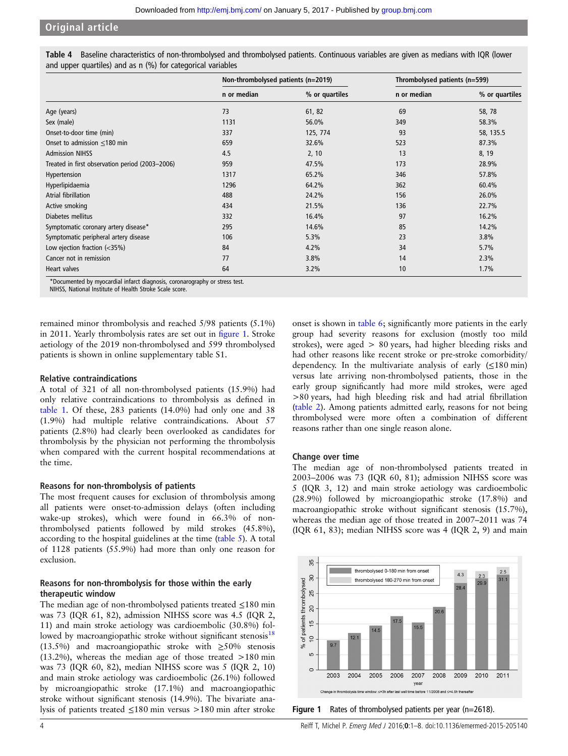# <span id="page-3-0"></span>Original article

Table 4 Baseline characteristics of non-thrombolysed and thrombolysed patients. Continuous variables are given as medians with IQR (lower and upper quartiles) and as n (%) for categorical variables

|                                                                         | Non-thrombolysed patients (n=2019) |                | Thrombolysed patients (n=599) |                |
|-------------------------------------------------------------------------|------------------------------------|----------------|-------------------------------|----------------|
|                                                                         | n or median                        | % or quartiles | n or median                   | % or quartiles |
| Age (years)                                                             | 73                                 | 61, 82         | 69                            | 58, 78         |
| Sex (male)                                                              | 1131                               | 56.0%          | 349                           | 58.3%          |
| Onset-to-door time (min)                                                | 337                                | 125, 774       | 93                            | 58, 135.5      |
| Onset to admission $\leq$ 180 min                                       | 659                                | 32.6%          | 523                           | 87.3%          |
| <b>Admission NIHSS</b>                                                  | 4.5                                | 2, 10          | 13                            | 8, 19          |
| Treated in first observation period (2003-2006)                         | 959                                | 47.5%          | 173                           | 28.9%          |
| Hypertension                                                            | 1317                               | 65.2%          | 346                           | 57.8%          |
| Hyperlipidaemia                                                         | 1296                               | 64.2%          | 362                           | 60.4%          |
| Atrial fibrillation                                                     | 488                                | 24.2%          | 156                           | 26.0%          |
| Active smoking                                                          | 434                                | 21.5%          | 136                           | 22.7%          |
| Diabetes mellitus                                                       | 332                                | 16.4%          | 97                            | 16.2%          |
| Symptomatic coronary artery disease*                                    | 295                                | 14.6%          | 85                            | 14.2%          |
| Symptomatic peripheral artery disease                                   | 106                                | 5.3%           | 23                            | 3.8%           |
| Low ejection fraction $\left\langle \langle 35\% \rangle \right\rangle$ | 84                                 | 4.2%           | 34                            | 5.7%           |
| Cancer not in remission                                                 | 77                                 | 3.8%           | 14                            | 2.3%           |
| Heart valves                                                            | 64                                 | 3.2%           | 10                            | 1.7%           |

\*Documented by myocardial infarct diagnosis, coronarography or stress test.

NIHSS, National Institute of Health Stroke Scale score.

remained minor thrombolysis and reached 5/98 patients (5.1%) in 2011. Yearly thrombolysis rates are set out in figure 1. Stroke aetiology of the 2019 non-thrombolysed and 599 thrombolysed patients is shown in online [supplementary table S1.](http://dx.doi.org/10.1136/emermed-2015-205140)

#### Relative contraindications

A total of 321 of all non-thrombolysed patients (15.9%) had only relative contraindications to thrombolysis as defined in [table 1](#page-1-0). Of these, 283 patients (14.0%) had only one and 38 (1.9%) had multiple relative contraindications. About 57 patients (2.8%) had clearly been overlooked as candidates for thrombolysis by the physician not performing the thrombolysis when compared with the current hospital recommendations at the time.

#### Reasons for non-thrombolysis of patients

The most frequent causes for exclusion of thrombolysis among all patients were onset-to-admission delays (often including wake-up strokes), which were found in 66.3% of nonthrombolysed patients followed by mild strokes (45.8%), according to the hospital guidelines at the time [\(table 5](#page-4-0)). A total of 1128 patients (55.9%) had more than only one reason for exclusion.

## Reasons for non-thrombolysis for those within the early therapeutic window

The median age of non-thrombolysed patients treated ≤180 min was 73 (IQR 61, 82), admission NIHSS score was 4.5 (IQR 2, 11) and main stroke aetiology was cardioembolic (30.8%) followed by macroangiopathic stroke without significant stenosis $18$ (13.5%) and macroangiopathic stroke with  $\geq$ 50% stenosis  $(13.2\%)$ , whereas the median age of those treated  $>180$  min was 73 (IQR 60, 82), median NIHSS score was 5 (IQR 2, 10) and main stroke aetiology was cardioembolic (26.1%) followed by microangiopathic stroke (17.1%) and macroangiopathic stroke without significant stenosis (14.9%). The bivariate analysis of patients treated ≤180 min versus >180 min after stroke onset is shown in [table 6;](#page-5-0) significantly more patients in the early group had severity reasons for exclusion (mostly too mild strokes), were aged > 80 years, had higher bleeding risks and had other reasons like recent stroke or pre-stroke comorbidity/ dependency. In the multivariate analysis of early  $(\leq 180 \text{ min})$ versus late arriving non-thrombolysed patients, those in the early group significantly had more mild strokes, were aged >80 years, had high bleeding risk and had atrial fibrillation ([table 2](#page-2-0)). Among patients admitted early, reasons for not being thrombolysed were more often a combination of different reasons rather than one single reason alone.

#### Change over time

The median age of non-thrombolysed patients treated in 2003–2006 was 73 (IQR 60, 81); admission NIHSS score was 5 (IQR 3, 12) and main stroke aetiology was cardioembolic (28.9%) followed by microangiopathic stroke (17.8%) and macroangiopathic stroke without significant stenosis (15.7%), whereas the median age of those treated in 2007–2011 was 74 (IQR 61, 83); median NIHSS score was 4 (IQR 2, 9) and main



Figure 1 Rates of thrombolysed patients per year (n=2618).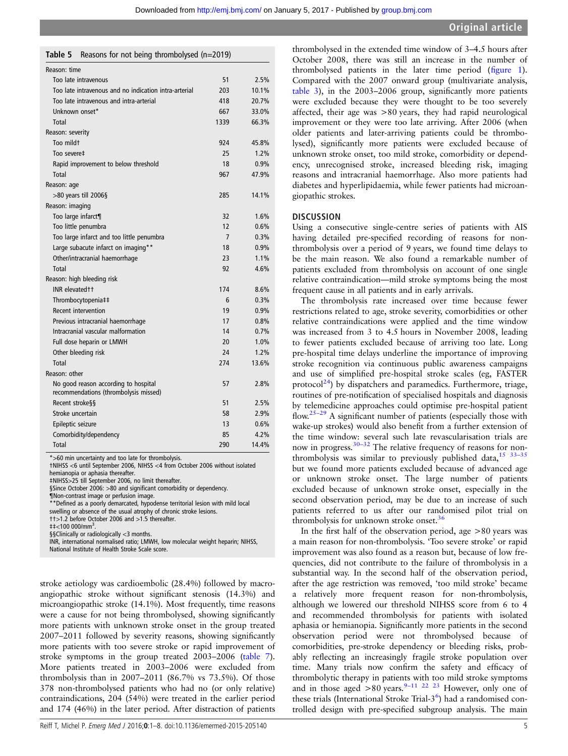#### <span id="page-4-0"></span>Table 5 Reasons for not being thrombolysed (n=2019)

| Reason: time                                                                  |      |       |
|-------------------------------------------------------------------------------|------|-------|
| Too late intravenous                                                          | 51   | 2.5%  |
| Too late intravenous and no indication intra-arterial                         | 203  | 10.1% |
| Too late intravenous and intra-arterial                                       | 418  | 20.7% |
| Unknown onset*                                                                | 667  | 33.0% |
| Total                                                                         | 1339 | 66.3% |
| Reason: severity                                                              |      |       |
| Too mildt                                                                     | 924  | 45.8% |
| Too severe‡                                                                   | 25   | 1.2%  |
| Rapid improvement to below threshold                                          | 18   | 0.9%  |
| Total                                                                         | 967  | 47.9% |
| Reason: age                                                                   |      |       |
| $>80$ years till 2006§                                                        | 285  | 14.1% |
| Reason: imaging                                                               |      |       |
| Too large infarct¶                                                            | 32   | 1.6%  |
| Too little penumbra                                                           | 12   | 0.6%  |
| Too large infarct and too little penumbra                                     | 7    | 0.3%  |
| Large subacute infarct on imaging**                                           | 18   | 0.9%  |
| Other/intracranial haemorrhage                                                | 23   | 1.1%  |
| Total                                                                         | 92   | 4.6%  |
| Reason: high bleeding risk                                                    |      |       |
| INR elevated t t                                                              | 174  | 8.6%  |
| Thrombocytopenia‡‡                                                            | 6    | 0.3%  |
| Recent intervention                                                           | 19   | 0.9%  |
| Previous intracranial haemorrhage                                             | 17   | 0.8%  |
| Intracranial vascular malformation                                            | 14   | 0.7%  |
| Full dose heparin or LMWH                                                     | 20   | 1.0%  |
| Other bleeding risk                                                           | 24   | 1.2%  |
| Total                                                                         | 274  | 13.6% |
| Reason: other                                                                 |      |       |
| No good reason according to hospital<br>recommendations (thrombolysis missed) | 57   | 2.8%  |
| Recent stroke§§                                                               | 51   | 2.5%  |
| Stroke uncertain                                                              | 58   | 2.9%  |
| Epileptic seizure                                                             | 13   | 0.6%  |
| Comorbidity/dependency                                                        | 85   | 4.2%  |
| Total                                                                         | 290  | 14.4% |

\*>60 min uncertainty and too late for thrombolysis.

†NIHSS <6 until September 2006, NIHSS <4 from October 2006 without isolated hemianopia or aphasia thereafter.

‡NIHSS>25 till September 2006, no limit thereafter.

§Since October 2006: >80 and significant comorbidity or dependency.

¶Non-contrast image or perfusion image.

\*\*Defined as a poorly demarcated, hypodense territorial lesion with mild local swelling or absence of the usual atrophy of chronic stroke lesions.

††>1.2 before October 2006 and >1.5 thereafter.

 $\text{+}1$  < 100 000/mm<sup>3</sup>

. §§Clinically or radiologically <3 months.

INR, international normalised ratio; LMWH, low molecular weight heparin; NIHSS, National Institute of Health Stroke Scale score.

stroke aetiology was cardioembolic (28.4%) followed by macroangiopathic stroke without significant stenosis (14.3%) and microangiopathic stroke (14.1%). Most frequently, time reasons were a cause for not being thrombolysed, showing significantly more patients with unknown stroke onset in the group treated 2007–2011 followed by severity reasons, showing significantly more patients with too severe stroke or rapid improvement of stroke symptoms in the group treated 2003–2006 ([table 7](#page-6-0)). More patients treated in 2003–2006 were excluded from thrombolysis than in 2007–2011 (86.7% vs 73.5%). Of those 378 non-thrombolysed patients who had no (or only relative) contraindications, 204 (54%) were treated in the earlier period and 174 (46%) in the later period. After distraction of patients

thrombolysed in the extended time window of 3–4.5 hours after October 2008, there was still an increase in the number of thrombolysed patients in the later time period (fi[gure 1\)](#page-3-0). Compared with the 2007 onward group (multivariate analysis, [table 3](#page-2-0)), in the 2003–2006 group, significantly more patients were excluded because they were thought to be too severely affected, their age was >80 years, they had rapid neurological improvement or they were too late arriving. After 2006 (when older patients and later-arriving patients could be thrombolysed), significantly more patients were excluded because of unknown stroke onset, too mild stroke, comorbidity or dependency, unrecognised stroke, increased bleeding risk, imaging reasons and intracranial haemorrhage. Also more patients had diabetes and hyperlipidaemia, while fewer patients had microangiopathic strokes.

#### **DISCUSSION**

Using a consecutive single-centre series of patients with AIS having detailed pre-specified recording of reasons for nonthrombolysis over a period of 9 years, we found time delays to be the main reason. We also found a remarkable number of patients excluded from thrombolysis on account of one single relative contraindication—mild stroke symptoms being the most frequent cause in all patients and in early arrivals.

The thrombolysis rate increased over time because fewer restrictions related to age, stroke severity, comorbidities or other relative contraindications were applied and the time window was increased from 3 to 4.5 hours in November 2008, leading to fewer patients excluded because of arriving too late. Long pre-hospital time delays underline the importance of improving stroke recognition via continuous public awareness campaigns and use of simplified pre-hospital stroke scales (eg, FASTER protocol<sup>24</sup>) by dispatchers and paramedics. Furthermore, triage, routines of pre-notification of specialised hospitals and diagnosis by telemedicine approaches could optimise pre-hospital patient flow. $25-29$  $25-29$  A significant number of patients (especially those with wake-up strokes) would also benefit from a further extension of the time window: several such late revascularisation trials are now in progress.<sup>30–32</sup> The relative frequency of reasons for nonthrombolysis was similar to previously published data,  $15$  33-35 but we found more patients excluded because of advanced age or unknown stroke onset. The large number of patients excluded because of unknown stroke onset, especially in the second observation period, may be due to an increase of such patients referred to us after our randomised pilot trial on thrombolysis for unknown stroke onset.<sup>[36](#page-7-0)</sup>

In the first half of the observation period, age >80 years was a main reason for non-thrombolysis. 'Too severe stroke' or rapid improvement was also found as a reason but, because of low frequencies, did not contribute to the failure of thrombolysis in a substantial way. In the second half of the observation period, after the age restriction was removed, 'too mild stroke' became a relatively more frequent reason for non-thrombolysis, although we lowered our threshold NIHSS score from 6 to 4 and recommended thrombolysis for patients with isolated aphasia or hemianopia. Significantly more patients in the second observation period were not thrombolysed because of comorbidities, pre-stroke dependency or bleeding risks, probably reflecting an increasingly fragile stroke population over time. Many trials now confirm the safety and efficacy of thrombolytic therapy in patients with too mild stroke symptoms and in those aged  $>80$  years.<sup>9–11 22</sup> <sup>23</sup> However, only one of these trials (International Stroke Trial- $3<sup>6</sup>$  $3<sup>6</sup>$  $3<sup>6</sup>$ ) had a randomised controlled design with pre-specified subgroup analysis. The main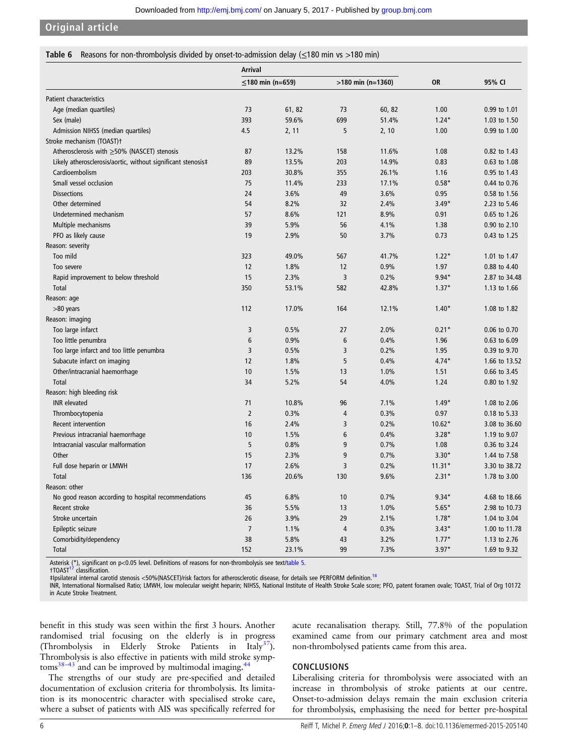<span id="page-5-0"></span>Original article

#### Table 6 Reasons for non-thrombolysis divided by onset-to-admission delay (≤180 min vs >180 min)

|                                                              | <b>Arrival</b> |                  |                |                     |           |               |
|--------------------------------------------------------------|----------------|------------------|----------------|---------------------|-----------|---------------|
|                                                              |                | ≤180 min (n=659) |                | $>180$ min (n=1360) | <b>OR</b> | 95% CI        |
| Patient characteristics                                      |                |                  |                |                     |           |               |
| Age (median quartiles)                                       | 73             | 61, 82           | 73             | 60, 82              | 1.00      | 0.99 to 1.01  |
| Sex (male)                                                   | 393            | 59.6%            | 699            | 51.4%               | $1.24*$   | 1.03 to 1.50  |
| Admission NIHSS (median quartiles)                           | 4.5            | 2, 11            | 5              | 2, 10               | 1.00      | 0.99 to 1.00  |
| Stroke mechanism (TOAST)t                                    |                |                  |                |                     |           |               |
| Atherosclerosis with ≥50% (NASCET) stenosis                  | 87             | 13.2%            | 158            | 11.6%               | 1.08      | 0.82 to 1.43  |
| Likely atherosclerosis/aortic, without significant stenosis‡ | 89             | 13.5%            | 203            | 14.9%               | 0.83      | 0.63 to 1.08  |
| Cardioembolism                                               | 203            | 30.8%            | 355            | 26.1%               | 1.16      | 0.95 to 1.43  |
| Small vessel occlusion                                       | 75             | 11.4%            | 233            | 17.1%               | $0.58*$   | 0.44 to 0.76  |
| <b>Dissections</b>                                           | 24             | 3.6%             | 49             | 3.6%                | 0.95      | 0.58 to 1.56  |
| Other determined                                             | 54             | 8.2%             | 32             | 2.4%                | $3.49*$   | 2.23 to 5.46  |
| Undetermined mechanism                                       | 57             | 8.6%             | 121            | 8.9%                | 0.91      | 0.65 to 1.26  |
| Multiple mechanisms                                          | 39             | 5.9%             | 56             | 4.1%                | 1.38      | 0.90 to 2.10  |
| PFO as likely cause                                          | 19             | 2.9%             | 50             | 3.7%                | 0.73      | 0.43 to 1.25  |
| Reason: severity                                             |                |                  |                |                     |           |               |
| Too mild                                                     | 323            | 49.0%            | 567            | 41.7%               | $1.22*$   | 1.01 to 1.47  |
| Too severe                                                   | 12             | 1.8%             | 12             | 0.9%                | 1.97      | 0.88 to 4.40  |
| Rapid improvement to below threshold                         | 15             | 2.3%             | 3              | 0.2%                | $9.94*$   | 2.87 to 34.48 |
| Total                                                        | 350            | 53.1%            | 582            | 42.8%               | $1.37*$   | 1.13 to 1.66  |
| Reason: age                                                  |                |                  |                |                     |           |               |
| >80 years                                                    | 112            | 17.0%            | 164            | 12.1%               | $1.40*$   | 1.08 to 1.82  |
| Reason: imaging                                              |                |                  |                |                     |           |               |
| Too large infarct                                            | 3              | 0.5%             | 27             | 2.0%                | $0.21*$   | 0.06 to 0.70  |
| Too little penumbra                                          | 6              | 0.9%             | 6              | 0.4%                | 1.96      | 0.63 to 6.09  |
| Too large infarct and too little penumbra                    | $\overline{3}$ | 0.5%             | 3              | 0.2%                | 1.95      | 0.39 to 9.70  |
| Subacute infarct on imaging                                  | 12             | 1.8%             | 5              | 0.4%                | $4.74*$   | 1.66 to 13.52 |
| Other/intracranial haemorrhage                               | 10             | 1.5%             | 13             | 1.0%                | 1.51      | 0.66 to 3.45  |
| <b>Total</b>                                                 | 34             | 5.2%             | 54             | 4.0%                | 1.24      | 0.80 to 1.92  |
| Reason: high bleeding risk                                   |                |                  |                |                     |           |               |
| <b>INR</b> elevated                                          | 71             | 10.8%            | 96             | 7.1%                | $1.49*$   | 1.08 to 2.06  |
| Thrombocytopenia                                             | $\overline{2}$ | 0.3%             | 4              | 0.3%                | 0.97      | 0.18 to 5.33  |
| Recent intervention                                          | 16             | 2.4%             | 3              | 0.2%                | $10.62*$  | 3.08 to 36.60 |
| Previous intracranial haemorrhage                            | 10             | 1.5%             | 6              | 0.4%                | $3.28*$   | 1.19 to 9.07  |
| Intracranial vascular malformation                           | 5              | 0.8%             | 9              | 0.7%                | 1.08      | 0.36 to 3.24  |
| Other                                                        | 15             | 2.3%             | 9              | 0.7%                | $3.30*$   | 1.44 to 7.58  |
| Full dose heparin or LMWH                                    | 17             | 2.6%             | 3              | 0.2%                | $11.31*$  | 3.30 to 38.72 |
| <b>Total</b>                                                 | 136            | 20.6%            | 130            | 9.6%                | $2.31*$   | 1.78 to 3.00  |
| Reason: other                                                |                |                  |                |                     |           |               |
| No good reason according to hospital recommendations         | 45             | 6.8%             | 10             | 0.7%                | $9.34*$   | 4.68 to 18.66 |
| Recent stroke                                                | 36             | 5.5%             | 13             | 1.0%                | $5.65*$   | 2.98 to 10.73 |
| Stroke uncertain                                             | 26             | 3.9%             | 29             | 2.1%                | $1.78*$   | 1.04 to 3.04  |
| Epileptic seizure                                            | $\overline{7}$ | 1.1%             | $\overline{4}$ | 0.3%                | $3.43*$   | 1.00 to 11.78 |
| Comorbidity/dependency                                       | 38             | 5.8%             | 43             | 3.2%                | $1.77*$   | 1.13 to 2.76  |
| Total                                                        | 152            | 23.1%            | 99             | 7.3%                | $3.97*$   | 1.69 to 9.32  |

Asterisk (\*), significant on p<0.05 level. Definitions of reasons for non-thrombolysis see text[/table 5](#page-4-0).<br>†TOAST<sup>[17](#page-7-0)</sup> classification.

‡Ipsilateral internal carotid stenosis <50%(NASCET)/risk factors for atherosclerotic disease, for details see PERFORM definition.[18](#page-7-0)

INR, International Normalised Ratio; LMWH, low molecular weight heparin; NIHSS, National Institute of Health Stroke Scale score; PFO, patent foramen ovale; TOAST, Trial of Org 10172 in Acute Stroke Treatment.

benefit in this study was seen within the first 3 hours. Another randomised trial focusing on the elderly is in progress (Thrombolysis in Elderly Stroke Patients in Italy<sup>[37](#page-7-0)</sup>). Thrombolysis is also effective in patients with mild stroke symp- $toms<sup>38–43</sup>$  $toms<sup>38–43</sup>$  $toms<sup>38–43</sup>$  and can be improved by multimodal imaging.<sup>[44](#page-7-0)</sup>

The strengths of our study are pre-specified and detailed documentation of exclusion criteria for thrombolysis. Its limitation is its monocentric character with specialised stroke care, where a subset of patients with AIS was specifically referred for

acute recanalisation therapy. Still, 77.8% of the population examined came from our primary catchment area and most non-thrombolysed patients came from this area.

#### CONCLUSIONS

Liberalising criteria for thrombolysis were associated with an increase in thrombolysis of stroke patients at our centre. Onset-to-admission delays remain the main exclusion criteria for thrombolysis, emphasising the need for better pre-hospital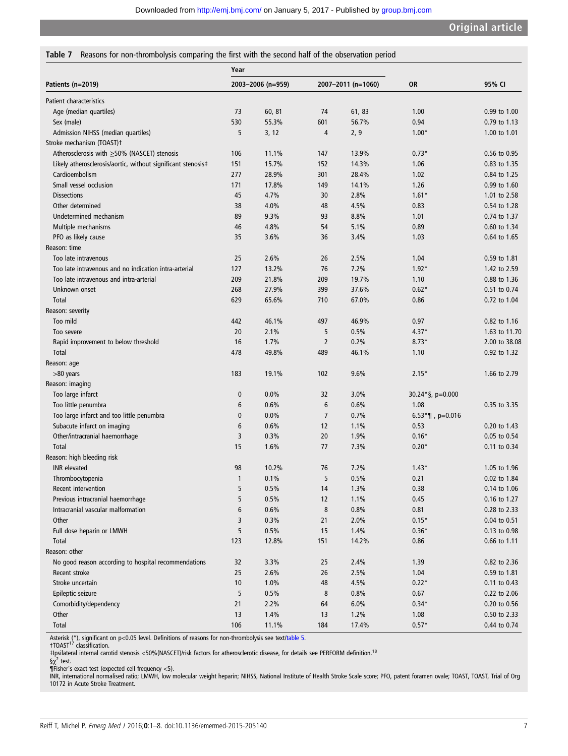## <span id="page-6-0"></span>Table 7 Reasons for non-thrombolysis comparing the first with the second half of the observation period

|                                                              | Year              |        |                    |        |                                 |               |
|--------------------------------------------------------------|-------------------|--------|--------------------|--------|---------------------------------|---------------|
| Patients (n=2019)                                            | 2003-2006 (n=959) |        | 2007-2011 (n=1060) |        | <b>OR</b>                       | 95% CI        |
| Patient characteristics                                      |                   |        |                    |        |                                 |               |
| Age (median quartiles)                                       | 73                | 60, 81 | 74                 | 61, 83 | 1.00                            | 0.99 to 1.00  |
| Sex (male)                                                   | 530               | 55.3%  | 601                | 56.7%  | 0.94                            | 0.79 to 1.13  |
| Admission NIHSS (median quartiles)                           | 5                 | 3, 12  | 4                  | 2, 9   | $1.00*$                         | 1.00 to 1.01  |
| Stroke mechanism (TOAST)t                                    |                   |        |                    |        |                                 |               |
| Atherosclerosis with ≥50% (NASCET) stenosis                  | 106               | 11.1%  | 147                | 13.9%  | $0.73*$                         | 0.56 to 0.95  |
| Likely atherosclerosis/aortic, without significant stenosis‡ | 151               | 15.7%  | 152                | 14.3%  | 1.06                            | 0.83 to 1.35  |
| Cardioembolism                                               | 277               | 28.9%  | 301                | 28.4%  | 1.02                            | 0.84 to 1.25  |
| Small vessel occlusion                                       | 171               | 17.8%  | 149                | 14.1%  | 1.26                            | 0.99 to 1.60  |
| <b>Dissections</b>                                           | 45                | 4.7%   | 30                 | 2.8%   | $1.61*$                         | 1.01 to 2.58  |
| Other determined                                             | 38                | 4.0%   | 48                 | 4.5%   | 0.83                            | 0.54 to 1.28  |
| Undetermined mechanism                                       | 89                | 9.3%   | 93                 | 8.8%   | 1.01                            | 0.74 to 1.37  |
| Multiple mechanisms                                          | 46                | 4.8%   | 54                 | 5.1%   | 0.89                            | 0.60 to 1.34  |
| PFO as likely cause                                          | 35                | 3.6%   | 36                 | 3.4%   | 1.03                            | 0.64 to 1.65  |
| Reason: time                                                 |                   |        |                    |        |                                 |               |
| Too late intravenous                                         | 25                | 2.6%   | 26                 | 2.5%   | 1.04                            | 0.59 to 1.81  |
| Too late intravenous and no indication intra-arterial        | 127               | 13.2%  | 76                 | 7.2%   | $1.92*$                         | 1.42 to 2.59  |
| Too late intravenous and intra-arterial                      | 209               | 21.8%  | 209                | 19.7%  | 1.10                            | 0.88 to 1.36  |
| Unknown onset                                                | 268               | 27.9%  | 399                | 37.6%  | $0.62*$                         | 0.51 to 0.74  |
| Total                                                        | 629               | 65.6%  | 710                | 67.0%  | 0.86                            | 0.72 to 1.04  |
| Reason: severity                                             |                   |        |                    |        |                                 |               |
| Too mild                                                     | 442               | 46.1%  | 497                | 46.9%  | 0.97                            | 0.82 to 1.16  |
| Too severe                                                   | 20                | 2.1%   | 5                  | 0.5%   | $4.37*$                         | 1.63 to 11.70 |
| Rapid improvement to below threshold                         | 16                | 1.7%   | $\overline{2}$     | 0.2%   | $8.73*$                         | 2.00 to 38.08 |
| Total                                                        | 478               | 49.8%  | 489                | 46.1%  | 1.10                            | 0.92 to 1.32  |
| Reason: age                                                  |                   |        |                    |        |                                 |               |
| >80 years                                                    | 183               | 19.1%  | 102                | 9.6%   | $2.15*$                         | 1.66 to 2.79  |
| Reason: imaging                                              |                   |        |                    |        |                                 |               |
| Too large infarct                                            | $\pmb{0}$         | 0.0%   | 32                 | 3.0%   | $30.24$ <sup>*</sup> §, p=0.000 |               |
| Too little penumbra                                          | 6                 | 0.6%   | 6                  | 0.6%   | 1.08                            | 0.35 to 3.35  |
| Too large infarct and too little penumbra                    | 0                 | 0.0%   | $\overline{7}$     | 0.7%   | $6.53^{\ast}$ ¶, p=0.016        |               |
| Subacute infarct on imaging                                  | 6                 | 0.6%   | 12                 | 1.1%   | 0.53                            | 0.20 to 1.43  |
| Other/intracranial haemorrhage                               | 3                 | 0.3%   | 20                 | 1.9%   | $0.16*$                         | 0.05 to 0.54  |
| Total                                                        | 15                | 1.6%   | 77                 | 7.3%   | $0.20*$                         | 0.11 to 0.34  |
| Reason: high bleeding risk                                   |                   |        |                    |        |                                 |               |
| <b>INR</b> elevated                                          | 98                | 10.2%  | 76                 | 7.2%   | $1.43*$                         | 1.05 to 1.96  |
| Thrombocytopenia                                             | 1                 | 0.1%   | 5                  | 0.5%   | 0.21                            | 0.02 to 1.84  |
| Recent intervention                                          | 5                 | 0.5%   | 14                 | 1.3%   | 0.38                            | 0.14 to 1.06  |
| Previous intracranial haemorrhage                            | 5                 | 0.5%   | 12                 | 1.1%   | 0.45                            | 0.16 to 1.27  |
| Intracranial vascular malformation                           | 6                 | 0.6%   | 8                  | 0.8%   | 0.81                            | 0.28 to 2.33  |
| Other                                                        | 3                 | 0.3%   | 21                 | 2.0%   | $0.15*$                         | 0.04 to 0.51  |
| Full dose heparin or LMWH                                    | 5                 | 0.5%   | 15                 | 1.4%   | $0.36*$                         | 0.13 to 0.98  |
| Total                                                        | 123               | 12.8%  | 151                | 14.2%  | 0.86                            | 0.66 to 1.11  |
| Reason: other                                                |                   |        |                    |        |                                 |               |
| No good reason according to hospital recommendations         | 32                | 3.3%   | 25                 | 2.4%   | 1.39                            | 0.82 to 2.36  |
| Recent stroke                                                | 25                | 2.6%   | 26                 | 2.5%   | 1.04                            | 0.59 to 1.81  |
| Stroke uncertain                                             | $10$              | 1.0%   | 48                 | 4.5%   | $0.22*$                         | 0.11 to 0.43  |
| Epileptic seizure                                            | 5                 | 0.5%   | 8                  | 0.8%   | 0.67                            | 0.22 to 2.06  |
| Comorbidity/dependency                                       | 21                | 2.2%   | 64                 | 6.0%   | $0.34*$                         | 0.20 to 0.56  |
| Other                                                        | 13                | 1.4%   | 13                 | 1.2%   | 1.08                            | 0.50 to 2.33  |
| Total                                                        | 106               | 11.1%  | 184                | 17.4%  | $0.57*$                         | 0.44 to 0.74  |

Asterisk (\*), significant on p<0.05 level. Definitions of reasons for non-thrombolysis see text[/table 5](#page-4-0).<br>†TOAST<sup>17</sup> classification.

‡Ipsilateral internal carotid stenosis <50%(NASCET)/risk factors for atherosclerotic disease, for details see PERFORM definition.<sup>18</sup>

§x2 test.<br>¶Fisher's exact test (expected cell frequency <5).<br>INR, international normalised ratio; LMWH, low molecular weight heparin; NIHSS, National Institute of Health Stroke Scale score; PFO, patent foramen ovale; TOAS 10172 in Acute Stroke Treatment.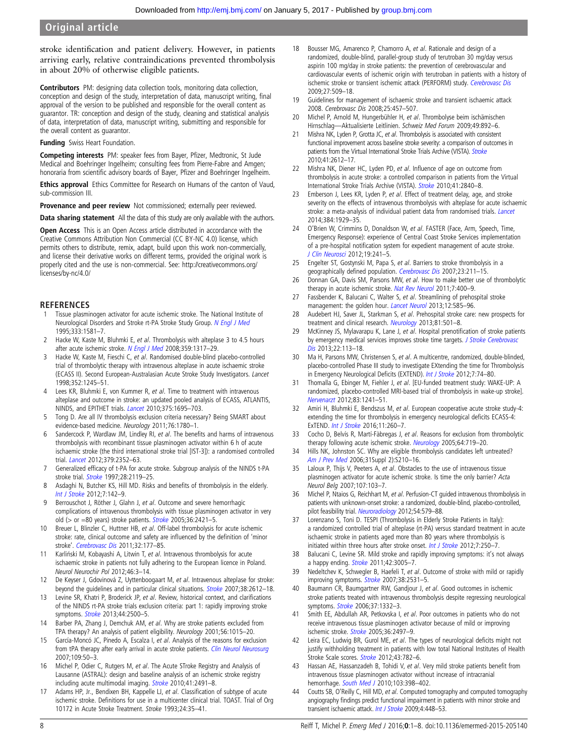<span id="page-7-0"></span>stroke identification and patient delivery. However, in patients arriving early, relative contraindications prevented thrombolysis in about 20% of otherwise eligible patients.

Contributors PM: designing data collection tools, monitoring data collection, conception and design of the study, interpretation of data, manuscript writing, final approval of the version to be published and responsible for the overall content as guarantor. TR: conception and design of the study, cleaning and statistical analysis of data, interpretation of data, manuscript writing, submitting and responsible for the overall content as guarantor.

**Funding** Swiss Heart Foundation.

Competing interests PM: speaker fees from Bayer, Pfizer, Medtronic, St Jude Medical and Boehringer Ingelheim; consulting fees from Pierre-Fabre and Amgen; honoraria from scientific advisory boards of Bayer, Pfizer and Boehringer Ingelheim.

**Ethics approval** Ethics Committee for Research on Humans of the canton of Vaud sub-commission III.

Provenance and peer review Not commissioned; externally peer reviewed.

Data sharing statement All the data of this study are only available with the authors.

Open Access This is an Open Access article distributed in accordance with the Creative Commons Attribution Non Commercial (CC BY-NC 4.0) license, which permits others to distribute, remix, adapt, build upon this work non-commercially, and license their derivative works on different terms, provided the original work is properly cited and the use is non-commercial. See: [http://creativecommons.org/](http://creativecommons.org/licenses/by-nc/4.0/) [licenses/by-nc/4.0/](http://creativecommons.org/licenses/by-nc/4.0/)

# **REFERENCES**

- Tissue plasminogen activator for acute ischemic stroke. The National Institute of Neurological Disorders and Stroke rt-PA Stroke Study Group. [N Engl J Med](http://dx.doi.org/10.1056/NEJM199512143332401) 1995;333:1581–7.
- 2 Hacke W, Kaste M, Bluhmki E, et al. Thrombolysis with alteplase 3 to 4.5 hours after acute ischemic stroke. [N Engl J Med](http://dx.doi.org/10.1056/NEJMoa0804656) 2008;359:1317-29.
- 3 Hacke W, Kaste M, Fieschi C, et al. Randomised double-blind placebo-controlled trial of thrombolytic therapy with intravenous alteplase in acute ischaemic stroke (ECASS II). Second European-Australasian Acute Stroke Study Investigators. Lancet 1998;352:1245–51.
- 4 Lees KR, Bluhmki E, von Kummer R, et al. Time to treatment with intravenous alteplase and outcome in stroke: an updated pooled analysis of ECASS, ATLANTIS, NINDS, and EPITHET trials. [Lancet](http://dx.doi.org/10.1016/S0140-6736(10)60491-6) 2010;375:1695–703.
- 5 Tong D. Are all IV thrombolysis exclusion criteria necessary? Being SMART about evidence-based medicine. Neurology 2011;76:1780–1.
- 6 Sandercock P, Wardlaw JM, Lindley RI, et al. The benefits and harms of intravenous thrombolysis with recombinant tissue plasminogen activator within 6 h of acute ischaemic stroke (the third international stroke trial [IST-3]): a randomised controlled trial. [Lancet](http://dx.doi.org/10.1016/S0140-6736(12)60768-5) 2012;379:2352–63.
- 7 Generalized efficacy of t-PA for acute stroke. Subgroup analysis of the NINDS t-PA stroke trial. **[Stroke](http://dx.doi.org/10.1161/01.STR.28.11.2119)** 1997;28:2119-25.
- 8 Asdaghi N, Butcher KS, Hill MD. Risks and benefits of thrombolysis in the elderly. [Int J Stroke](http://dx.doi.org/10.1111/j.1747-4949.2011.00744.x) 2012;7:142–9.
- 9 Berrouschot J, Röther J, Glahn J, et al. Outcome and severe hemorrhagic complications of intravenous thrombolysis with tissue plasminogen activator in very old (> or =80 years) stroke patients. [Stroke](http://dx.doi.org/10.1161/01.STR.0000185696.73938.e0) 2005;36:2421–5.
- 10 Breuer L, Blinzler C, Huttner HB, et al. Off-label thrombolysis for acute ischemic stroke: rate, clinical outcome and safety are influenced by the definition of 'minor stroke'. [Cerebrovasc Dis](http://dx.doi.org/10.1159/000328811) 2011;32:177-85.
- 11 Karliński M, Kobayashi A, Litwin T, et al. Intravenous thrombolysis for acute ischaemic stroke in patients not fully adhering to the European licence in Poland. Neurol Neurochir Pol 2012;46:3–14.
- 12 De Keyser J, Gdovinová Z, Uyttenboogaart M, et al. Intravenous alteplase for stroke: beyond the guidelines and in particular clinical situations. **[Stroke](http://dx.doi.org/10.1161/STROKEAHA.106.480566) 2007;38:2612-18.**
- 13 Levine SR, Khatri P, Broderick JP, et al. Review, historical context, and clarifications of the NINDS rt-PA stroke trials exclusion criteria: part 1: rapidly improving stroke symptoms. **[Stroke](http://dx.doi.org/10.1161/STROKEAHA.113.000878)** 2013;44:2500-5.
- 14 Barber PA, Zhang J, Demchuk AM, et al. Why are stroke patients excluded from TPA therapy? An analysis of patient eligibility. Neurology 2001;56:1015–20.
- 15 García-Moncó JC, Pinedo A, Escalza I, et al. Analysis of the reasons for exclusion from tPA therapy after early arrival in acute stroke patients. [Clin Neurol Neurosurg](http://dx.doi.org/10.1016/j.clineuro.2006.06.006) 2007;109:50–3.
- 16 Michel P, Odier C, Rutgers M, et al. The Acute STroke Registry and Analysis of Lausanne (ASTRAL): design and baseline analysis of an ischemic stroke registry including acute multimodal imaging. [Stroke](http://dx.doi.org/10.1161/STROKEAHA.110.596189) 2010;41:2491–8.
- 17 Adams HP, Jr., Bendixen BH, Kappelle LJ, et al. Classification of subtype of acute ischemic stroke. Definitions for use in a multicenter clinical trial. TOAST. Trial of Org 10172 in Acute Stroke Treatment. Stroke 1993;24:35–41.
- 18 Bousser MG, Amarenco P, Chamorro A, et al. Rationale and design of a randomized, double-blind, parallel-group study of terutroban 30 mg/day versus aspirin 100 mg/day in stroke patients: the prevention of cerebrovascular and cardiovascular events of ischemic origin with terutroban in patients with a history of ischemic stroke or transient ischemic attack (PERFORM) study. [Cerebrovasc Dis](http://dx.doi.org/10.1159/000216835) 2009;27:509–18.
- 19 Guidelines for management of ischaemic stroke and transient ischaemic attack 2008. Cerebrovasc Dis 2008;25:457–507.
- 20 Michel P, Arnold M, Hungerbühler H, et al. Thrombolyse beim ischämischen Hirnschlag—Aktualisierte Leitlinien. Schweiz Med Forum 2009;49:892–6.
- 21 Mishra NK, Lyden P, Grotta JC, et al. Thrombolysis is associated with consistent functional improvement across baseline stroke severity: a comparison of outcomes in patients from the Virtual International [Stroke](http://dx.doi.org/10.1161/STROKEAHA.110.589317) Trials Archive (VISTA). Stroke 2010;41:2612–17.
- 22 Mishra NK, Diener HC, Lyden PD, et al. Influence of age on outcome from thrombolysis in acute stroke: a controlled comparison in patients from the Virtual International Stroke Trials Archive (VISTA). [Stroke](http://dx.doi.org/10.1161/STROKEAHA.110.586206) 2010;41:2840–8.
- 23 Emberson J, Lees KR, Lyden P, et al. Effect of treatment delay, age, and stroke severity on the effects of intravenous thrombolysis with alteplase for acute ischaemic stroke: a meta-analysis of individual patient data from randomised trials. [Lancet](http://dx.doi.org/10.1016/S0140-6736(14)60584-5) 2014;384:1929–35.
- 24 O'Brien W, Crimmins D, Donaldson W, et al. FASTER (Face, Arm, Speech, Time, Emergency Response): experience of Central Coast Stroke Services implementation of a pre-hospital notification system for expedient management of acute stroke. [J Clin Neurosci](http://dx.doi.org/10.1016/j.jocn.2011.06.009) 2012;19:241–5.
- 25 Engelter ST, Gostynski M, Papa S, et al. Barriers to stroke thrombolysis in a geographically defined population. [Cerebrovasc Dis](http://dx.doi.org/10.1159/000097643) 2007;23:211-15.
- 26 Donnan GA, Davis SM, Parsons MW, et al. How to make better use of thrombolytic therapy in acute ischemic stroke. [Nat Rev Neurol](http://dx.doi.org/10.1038/nrneurol.2011.89) 2011;7:400-9.
- 27 Fassbender K, Balucani C, Walter S, et al. Streamlining of prehospital stroke management: the golden hour. [Lancet Neurol](http://dx.doi.org/10.1016/S1474-4422(13)70100-5) 2013;12:585-96.
- 28 Audebert HJ, Saver JL, Starkman S, et al. Prehospital stroke care: new prospects for treatment and clinical research. [Neurology](http://dx.doi.org/10.1212/WNL.0b013e31829e0fdd) 2013;81:501-8.
- 29 McKinney JS, Mylavarapu K, Lane J, et al. Hospital prenotification of stroke patients by emergency medical services improves stroke time targets. [J Stroke Cerebrovasc](http://dx.doi.org/10.1016/j.jstrokecerebrovasdis.2011.06.018) [Dis](http://dx.doi.org/10.1016/j.jstrokecerebrovasdis.2011.06.018) 2013;22:113–18.
- 30 Ma H, Parsons MW, Christensen S, et al. A multicentre, randomized, double-blinded, placebo-controlled Phase III study to investigate EXtending the time for Thrombolysis in Emergency Neurological Deficits (EXTEND). [Int J Stroke](http://dx.doi.org/10.1111/j.1747-4949.2011.00730.x) 2012;7:74-80.
- 31 Thomalla G, Ebinger M, Fiehler J, et al. [EU-funded treatment study: WAKE-UP: A randomized, placebo-controlled MRI-based trial of thrombolysis in wake-up stroke]. [Nervenarzt](http://dx.doi.org/10.1007/s00115-012-3532-7) 2012;83:1241–51.
- 32 Amiri H, Bluhmki E, Bendszus M, et al. European cooperative acute stroke study-4: extending the time for thrombolysis in emergency neurological deficits ECASS-4: ExTEND. [Int J Stroke](http://dx.doi.org/10.1177/1747493015620805) 2016;11:260-7.
- 33 Cocho D, Belvís R, Martí-Fàbregas J, et al. Reasons for exclusion from thrombolytic therapy following acute ischemic stroke. [Neurology](http://dx.doi.org/10.1212/01.WNL.0000152041.20486.2F) 2005;64:719-20.
- 34 Hills NK, Johnston SC. Why are eligible thrombolysis candidates left untreated? [Am J Prev Med](http://dx.doi.org/10.1016/j.amepre.2006.08.004) 2006;31Suppl 2):S210–16.
- 35 Laloux P, Thijs V, Peeters A, et al. Obstacles to the use of intravenous tissue plasminogen activator for acute ischemic stroke. Is time the only barrier? Acta Neurol Belg 2007;107:103–7.
- 36 Michel P, Ntaios G, Reichhart M, et al. Perfusion-CT guided intravenous thrombolysis in patients with unknown-onset stroke: a randomized, double-blind, placebo-controlled, pilot feasibility trial. [Neuroradiology](http://dx.doi.org/10.1007/s00234-011-0944-1) 2012;54:579-88.
- 37 Lorenzano S, Toni D. TESPI (Thrombolysis in Elderly Stroke Patients in Italy): a randomized controlled trial of alteplase (rt-PA) versus standard treatment in acute ischaemic stroke in patients aged more than 80 years where thrombolysis is initiated within three hours after stroke onset. [Int J Stroke](http://dx.doi.org/10.1111/j.1747-4949.2011.00747.x) 2012;7:250-7.
- 38 Balucani C, Levine SR. Mild stroke and rapidly improving symptoms: it's not always a happy ending. [Stroke](http://dx.doi.org/10.1161/STROKEAHA.111.628701) 2011;42:3005-7.
- 39 Nedeltchev K, Schwegler B, Haefeli T, et al. Outcome of stroke with mild or rapidly improving symptoms. [Stroke](http://dx.doi.org/10.1161/STROKEAHA.107.482554) 2007;38:2531-5.
- 40 Baumann CR, Baumgartner RW, Gandjour J, et al. Good outcomes in ischemic stroke patients treated with intravenous thrombolysis despite regressing neurological symptoms. **[Stroke](http://dx.doi.org/10.1161/01.STR.0000217272.38455.a2)** 2006;37:1332-3.
- 41 Smith EE, Abdullah AR, Petkovska I, et al. Poor outcomes in patients who do not receive intravenous tissue plasminogen activator because of mild or improving ischemic stroke. [Stroke](http://dx.doi.org/10.1161/01.STR.0000185798.78817.f3) 2005;36:2497-9.
- 42 Leira EC, Ludwig BR, Gurol ME, et al. The types of neurological deficits might not justify withholding treatment in patients with low total National Institutes of Health [Stroke](http://dx.doi.org/10.1161/STROKEAHA.111.620674) Scale scores. Stroke 2012;43:782-6.
- 43 Hassan AE, Hassanzadeh B, Tohidi V, et al. Very mild stroke patients benefit from intravenous tissue plasminogen activator without increase of intracranial hemorrhage. [South Med J](http://dx.doi.org/10.1097/SMJ.0b013e3181d7814a) 2010;103:398-402.
- 44 Coutts SB, O'Reilly C, Hill MD, et al. Computed tomography and computed tomography angiography findings predict functional impairment in patients with minor stroke and transient ischaemic attack. [Int J Stroke](http://dx.doi.org/10.1111/j.1747-4949.2009.00346.x) 2009;4:448–53.